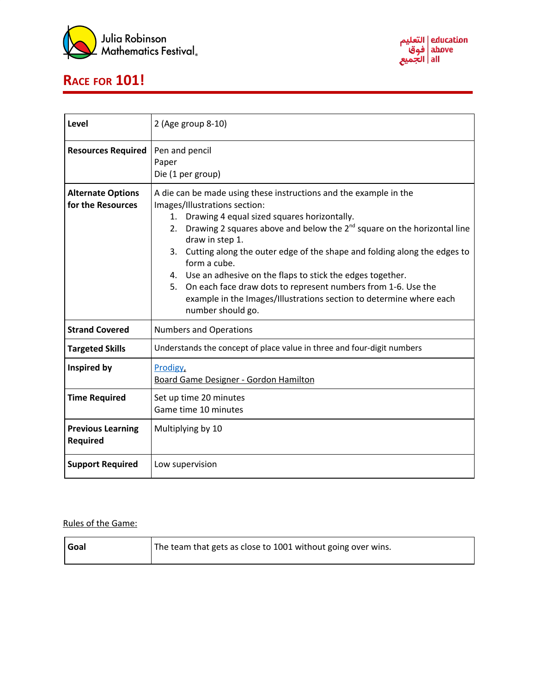





| Level                                         | 2 (Age group 8-10)                                                                                                                                                                                                                                                                                                                                                                                                                                                                                                                                                                              |
|-----------------------------------------------|-------------------------------------------------------------------------------------------------------------------------------------------------------------------------------------------------------------------------------------------------------------------------------------------------------------------------------------------------------------------------------------------------------------------------------------------------------------------------------------------------------------------------------------------------------------------------------------------------|
| <b>Resources Required</b>                     | Pen and pencil<br>Paper<br>Die (1 per group)                                                                                                                                                                                                                                                                                                                                                                                                                                                                                                                                                    |
| <b>Alternate Options</b><br>for the Resources | A die can be made using these instructions and the example in the<br>Images/Illustrations section:<br>1. Drawing 4 equal sized squares horizontally.<br>Drawing 2 squares above and below the $2^{nd}$ square on the horizontal line<br>2.<br>draw in step 1.<br>Cutting along the outer edge of the shape and folding along the edges to<br>3.<br>form a cube.<br>4. Use an adhesive on the flaps to stick the edges together.<br>5. On each face draw dots to represent numbers from 1-6. Use the<br>example in the Images/Illustrations section to determine where each<br>number should go. |
| <b>Strand Covered</b>                         | <b>Numbers and Operations</b>                                                                                                                                                                                                                                                                                                                                                                                                                                                                                                                                                                   |
| <b>Targeted Skills</b>                        | Understands the concept of place value in three and four-digit numbers                                                                                                                                                                                                                                                                                                                                                                                                                                                                                                                          |
| Inspired by                                   | Prodigy,<br><b>Board Game Designer - Gordon Hamilton</b>                                                                                                                                                                                                                                                                                                                                                                                                                                                                                                                                        |
| <b>Time Required</b>                          | Set up time 20 minutes<br>Game time 10 minutes                                                                                                                                                                                                                                                                                                                                                                                                                                                                                                                                                  |
| <b>Previous Learning</b><br><b>Required</b>   | Multiplying by 10                                                                                                                                                                                                                                                                                                                                                                                                                                                                                                                                                                               |
| <b>Support Required</b>                       | Low supervision                                                                                                                                                                                                                                                                                                                                                                                                                                                                                                                                                                                 |

## Rules of the Game:

| Goal | The team that gets as close to 1001 without going over wins. |
|------|--------------------------------------------------------------|
|      |                                                              |